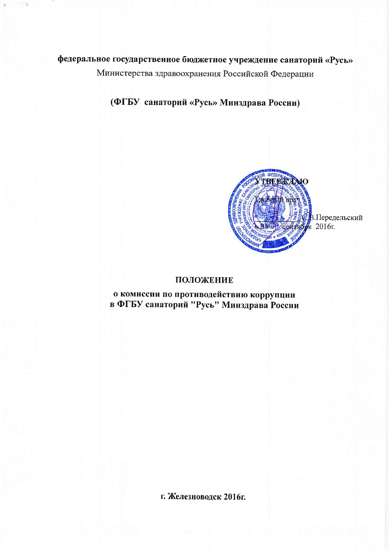# федеральное государственное бюджетное учреждение санаторий «Русь»

Министерства здравоохранения Российской Федерации

(ФГБУ санаторий «Русь» Минздрава России)



.<br>В.Передельский<br>1 2016г.

## ПОЛОЖЕНИЕ

о комиссии по противодействию коррупции в ФГБУ санаторий "Русь" Минздрава России

г. Железноводск 2016г.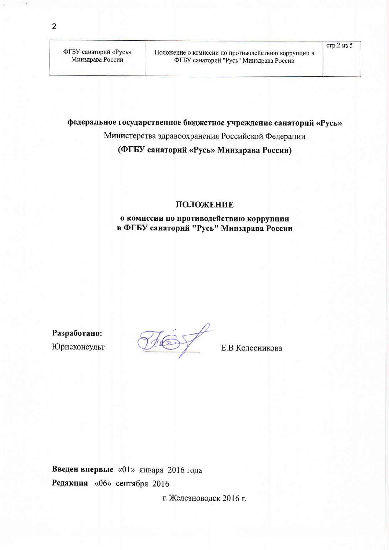ФГБУ санаторий «Русь» Минздрава России

федеральное государственное бюджетное учреждение санаторий «Русь»

Министерства здравоохранения Российской Федерации

(ФГБУ санаторий «Русь» Минздрава России)

#### ПОЛОЖЕНИЕ

## о комиссии по противодействию коррупции в ФГБУ санаторий "Русь" Минздрава России

Разработано: Юрисконсульт

Е.В. Колесникова

Введен впервые «01» января 2016 года Редакция «06» сентября 2016

г. Железноводск 2016 г.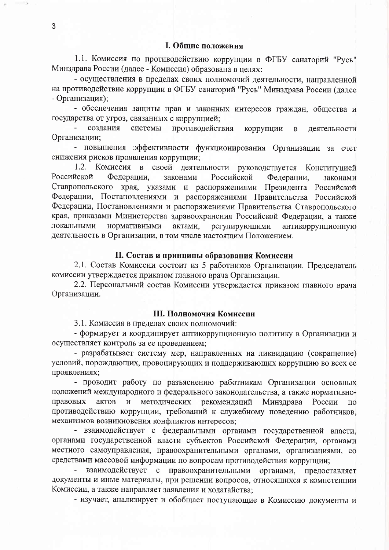1.1. Комиссия по противодействию коррупции в ФГБУ санаторий "Русь" Минздрава России (далее - Комиссия) образована в целях:

- осуществления в пределах своих полномочий деятельности, направленной на противодействие коррупции в ФГБУ санаторий "Русь" Минздрава России (далее - Организация);

- обеспечения защиты прав и законных интересов граждан, общества и государства от угроз, связанных с коррупцией;

создания системы противодействия коррупции  $\bf{B}$ деятельности Организации;

- повышения эффективности функционирования Организации за счет снижения рисков проявления коррупции;

1.2. Комиссия в своей деятельности руководствуется Конституцией Российской Федерации. законами Российской Федерации. законами Ставропольского края, указами и распоряжениями Президента Российской Федерации, Постановлениями и распоряжениями Правительства Российской Федерации, Постановлениями и распоряжениями Правительства Ставропольского края, приказами Министерства здравоохранения Российской Федерации, а также локальными нормативными актами. регулирующими антикоррупционную деятельность в Организации, в том числе настоящим Положением.

## II. Состав и принципы образования Комиссии

2.1. Состав Комиссии состоит из 5 работников Организации. Председатель комиссии утверждается приказом главного врача Организации.

2.2. Персональный состав Комиссии утверждается приказом главного врача Организации.

#### III. Полномочия Комиссии

3.1. Комиссия в пределах своих полномочий:

- формирует и координирует антикоррупционную политику в Организации и осуществляет контроль за ее проведением;

- разрабатывает систему мер, направленных на ликвидацию (сокращение) условий, порождающих, провоцирующих и поддерживающих коррупцию во всех ее проявлениях;

- проводит работу по разъяснению работникам Организации основных положений международного и федерального законодательства, а также нормативнометодических рекомендаций Минздрава правовых актов И России  $\Pi$ <sup>O</sup> противодействию коррупции, требований к служебному поведению работников, механизмов возникновения конфликтов интересов;

- взаимодействует с федеральными органами государственной власти, органами государственной власти субъектов Российской Федерации, органами местного самоуправления, правоохранительными органами, организациями, со средствами массовой информации по вопросам противодействия коррупции;

взаимодействует с правоохранительными органами, предоставляет документы и иные материалы, при решении вопросов, относящихся к компетенции Комиссии, а также направляет заявления и ходатайства:

- изучает, анализирует и обобщает поступающие в Комиссию документы и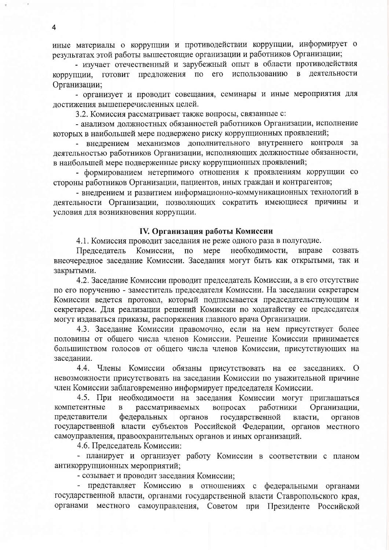иные материалы о коррупции и противодействии коррупции, информирует о результатах этой работы вышестоящие организации и работников Организации;

- изучает отечественный и зарубежный опыт в области противодействия предложения по  $e_{\Gamma}$ использованию  $\mathbf{B}$ деятельности коррупции, ГОТОВИТ Организации;

- организует и проводит совещания, семинары и иные мероприятия для достижения вышеперечисленных целей.

3.2. Комиссия рассматривает также вопросы, связанные с:

- анализом должностных обязанностей работников Организации, исполнение которых в наибольшей мере подвержено риску коррупционных проявлений;

внелрением механизмов дополнительного внутреннего контроля за деятельностью работников Организации, исполняющих должностные обязанности, в наибольшей мере подверженные риску коррупционных проявлений;

- формированием нетерпимого отношения к проявлениям коррупции со стороны работников Организации, пациентов, иных граждан и контрагентов;

- внедрением и развитием информационно-коммуникационных технологий в деятельности Организации, позволяющих сократить имеющиеся причины и условия для возникновения коррупции.

#### IV. Организация работы Комиссии

4.1. Комиссия проводит заседания не реже одного раза в полугодие.

Mepe необходимости, вправе Председатель Комиссии,  $\overline{10}$ созвать внеочередное заседание Комиссии. Заседания могут быть как открытыми, так и закрытыми.

4.2. Заседание Комиссии проводит председатель Комиссии, а в его отсутствие по его поручению - заместитель председателя Комиссии. На заседании секретарем Комиссии ведется протокол, который подписывается председательствующим и секретарем. Для реализации решений Комиссии по ходатайству ее председателя могут издаваться приказы, распоряжения главного врача Организации.

4.3. Заседание Комиссии правомочно, если на нем присутствует более половины от общего числа членов Комиссии. Решение Комиссии принимается большинством голосов от общего числа членов Комиссии, присутствующих на заседании.

 $4.4.$ Члены Комиссии обязаны присутствовать на ее заседаниях. О невозможности присутствовать на заседании Комиссии по уважительной причине член Комиссии заблаговременно информирует председателя Комиссии.

4.5. При необходимости на заседания Комиссии могут приглашаться компетентные рассматриваемых вопросах работники Организации,  $\mathbf{B}$ представители федеральных органов государственной власти, органов государственной власти субъектов Российской Федерации, органов местного самоуправления, правоохранительных органов и иных организаций.

4.6. Председатель Комиссии:

- планирует и организует работу Комиссии в соответствии с планом антикоррупционных мероприятий;

- созывает и проводит заседания Комиссии;

- представляет Комиссию в отношениях с федеральными органами государственной власти, органами государственной власти Ставропольского края, органами местного самоуправления, Советом при Президенте Российской